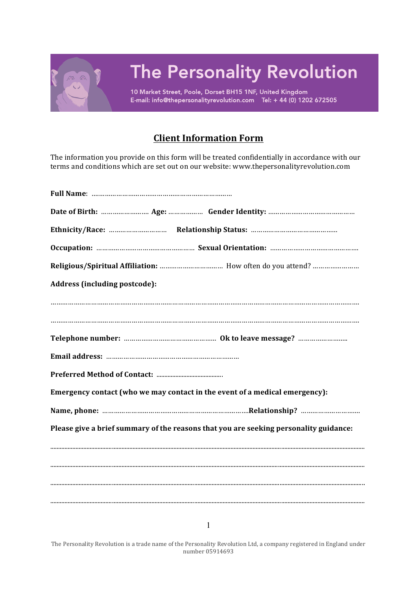

## **Client Information Form**

The information you provide on this form will be treated confidentially in accordance with our terms and conditions which are set out on our website: www.thepersonalityrevolution.com

| Address (including postcode):                                                         |  |
|---------------------------------------------------------------------------------------|--|
|                                                                                       |  |
|                                                                                       |  |
|                                                                                       |  |
|                                                                                       |  |
|                                                                                       |  |
| Emergency contact (who we may contact in the event of a medical emergency):           |  |
|                                                                                       |  |
| Please give a brief summary of the reasons that you are seeking personality guidance: |  |
|                                                                                       |  |
|                                                                                       |  |
|                                                                                       |  |
|                                                                                       |  |

The Personality Revolution is a trade name of the Personality Revolution Ltd, a company registered in England under number 05914693